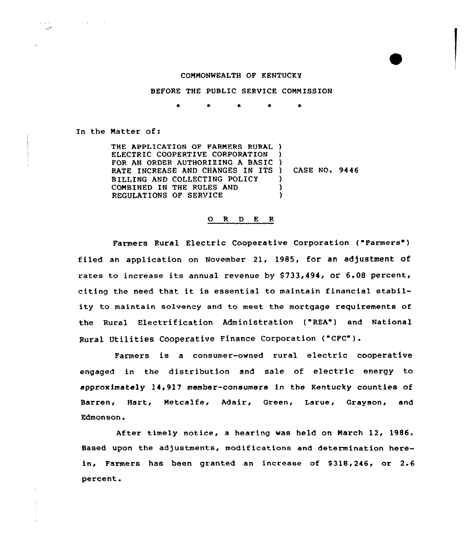## COMMONWEALTH OF KENTUCKY

BEFORE THE PUBLIC SERVICE COMMISSION

In the Matter of:

 $\mathcal{L}^{\mathcal{L}}$  and  $\mathcal{L}^{\mathcal{L}}$  and  $\mathcal{L}^{\mathcal{L}}$  and  $\mathcal{L}^{\mathcal{L}}$ 

 $\omega = \omega_{\rm c}$  ,  $\omega$  $\sim 10^{11}$ 

> THE APPLICATION OF FARMERS RURAL ) ELECTRIC COOPERTIVE CORPORATION FOR AN ORDER AUTHORIZING A BASIC RATE INCREASE AND CHANGES IN ITS ) BILLING AND COLLECTING POLICY COMBINED IN THE RULES AND REGULATIONS OF SERVICE ) ) ) CASE NO. 9446 ) ) )

## 0 <sup>R</sup> <sup>D</sup> E <sup>R</sup>

Farmers Rural Electric Cooperative Corporation {"Farmers") filed an application on November 2l, 1985, for an adjustment of rates to increase its annual revenue by  $$733,494$ , or 6.08 percent, citing the need that it is essential to maintain financial stability to maintain solvency and to meet the mortgage requirements of the Rural Electrification Administration ("REA") and National Rural Utilities Cooperative Finance Corporation {"CFC").

Farmers is <sup>a</sup> consumer-owned rural electric cooperative engaged in the distribution and sale of electric energy to approximately 14,917 member-consumers in the Kentucky counties of Barren, Hart, Metcalfe, Adair, Green, Larue, Grayson, and Edmonson.

After timely notice, a hearing was held on March 12, 1986. Based upon the adjustments, modifications and determination herein, Farmers has been granted an increase of S318,246, or 2.6 percent.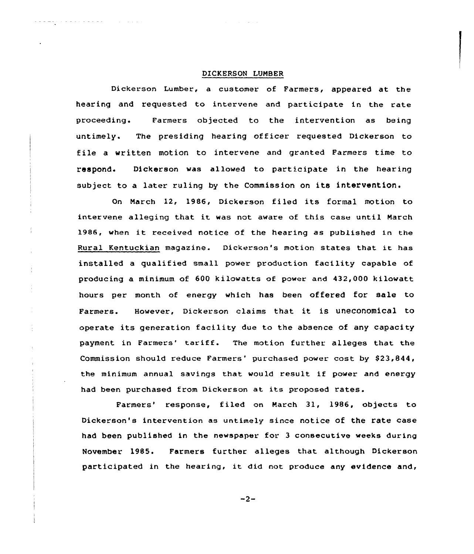# DICKERSON LUNBER

 $\mathcal{A}(\mathcal{A})$  and  $\mathcal{A}(\mathcal{A})$  and  $\mathcal{A}(\mathcal{A})$ 

÷

Dickerson Lumber, a customer of Farmers, appeared at the hearing and requested to intervene and participate in the rate proceeding. Farmers objected to the intervention as being untimely. The presiding hearing officer requested Dickerson to file a written motion to intervene and granted Farmers time to respond. Dickerson was allowed to participate in the hearing subject to a later ruling by the Commission on its intervention.

On Narch 12, 1986, Dickerson filed its formal motion to intervene alleging that it was not aware of this case until March 1986, when it received notice of the hearing as published in the Rural Kentuckian magazine. Dickerson's motion states that it has installed a qualified small power production facility capable of producing a minimum of 600 kilowatts of power and 432,000 kilowatt hours per month of energy which has been offered for sale to Farmers. However, Dickerson claims that it is uneconomical to operate its generation facility due to the absence of any capacity payment in Farmers' tariff. The motion further alleges that the Commission should reduce Farmers' purchased power cost by \$23,844, the minimum annual savings that would result if power and energy had been purchased from Dickerson at its proposed rates.

Farmers' response, filed on March 31, 1986, objects to Dickerson's intervention as untimely since notice of the rate case had been published in the newspaper for. 3 consecutive weeks during November 1985. Farmers further alleges that although Dickerson participated in the hearing, it did not produce any evidence and,

 $-2-$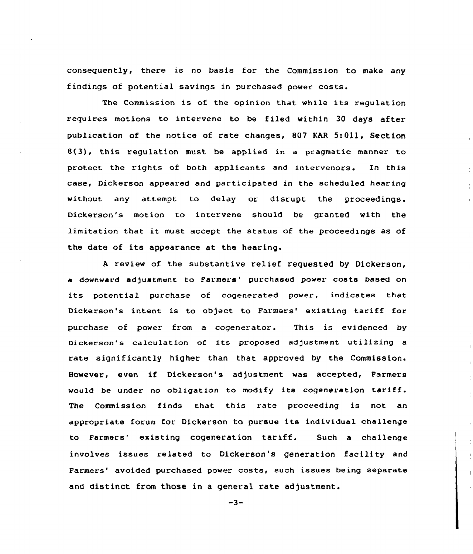consequently, there is no basis for the Commission to make any findings of potential savings in purchased power costs.

The Commission is of the opinion that while its regulation requires motions to intervene to be filed within 30 days after publication of the notice of rate changes, 807 KAR 5:Oll, Section 8(3), this regulation must be applied in a pragmatic manner to protect the rights of both applicants and intervenors. In this case, Dickerson appeared and participated in the scheduled hearing without any attempt to delay or disrupt the proceedings. Dickerson's motion to intervene should be granted with the limitation that it must accept the status of the proceedings as of the date of its appearance at the hearing.

<sup>A</sup> review of the substantive relief requested by Dickerson, a downward adjustment to Farmers' purchased power costs based on its potential purchase of cogenerated power, indicates that Dickerson's intent is to object to Farmers' existing tariff for purchase of power from a cogenerator. This is evidenced by Dickerson's calculation of its proposed adjustment utilizing <sup>a</sup> rate significantly higher than that approved by the Commission. However, even if Dickerson's adjustment was accepted, Farmers would be under no obligation to modify its cogeneration tariff. The Commission finds that this rate proceeding is not an appropriate forum for Dickerson to pursue its individual challenge to Farmers' existing cogeneration tariff. Such a challenge involves issues related to Dickerson's generation facility and Farmers' avoided purchased power costs, such issues being separate and distinct from those in a general rate adjustment.

 $-3-$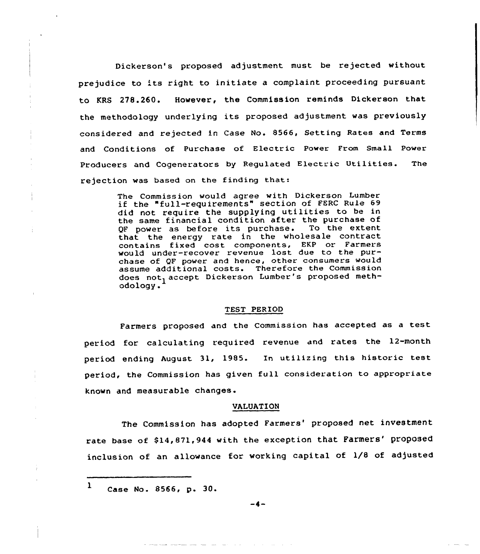Dickerson's proposed adjustment must be rejected without prejudice to its right to initiate a complaint proceeding pursuant to KRS 278.260. However, the Commission reminds Dickerson that the methodology underlying its proposed adjustment was previously considered and rejected in Case No. 8566, Setting Rates and Terms and Conditions of Purchase of Electric Power From Small Power Producers and Cogenerators by Regulated Electric Utilities. The rejection was based on the finding that:

> The Commission would agree with Dickerson Lumber if the "full-requirements" section of FERC Rule 69 did not require the supplying utilities to be in the same financial condition after the purchase of<br>OF nower as before its purchase. To the extent QF power as before its purchase. that the energy rate in the wholesale contract contains fixed cost components, EKP or Farmers would under-recover revenue lost due to the purchase of QF power and hence, other consumers would assume additional costs. Therefore the Commission does not, accept Dickerson Lumber's proposed methodology. <sup>1</sup>

## TEST PERIOD

Farmers proposed and the Commission has accepted as <sup>a</sup> test period for calculating required revenue and rates the 12-month period ending August 31, 1985. In utilizing this historic test period, the Commission has given full consideration to appropriate known and measurable changes.

#### VALUATION

The Commission has adopted Farmers' proposed net investment rate base of \$14,871,944 with the exception that Farmers' proposed inclusion of an allowance for working capital of 1/8 of adjusted

 $1$  Case No. 8566, p. 30.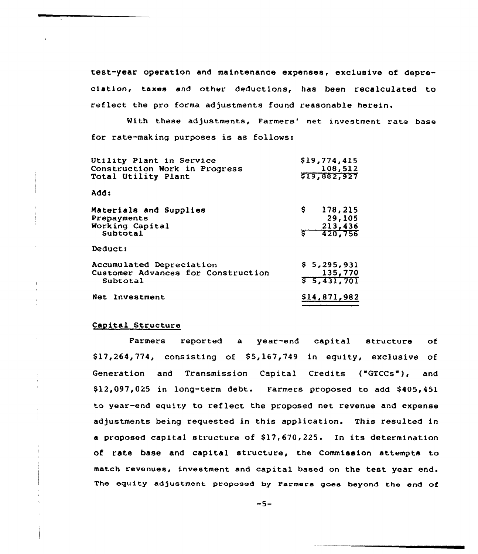test-year operation and maintenance expenses, exclusive of depreciation, taxes and other deductions, has been recalculated to ref1ect the pro forma adjustments found reasonable herein.

With these adjustments, Farmers' net investment rate base for rate-making purposes is as follows:

| Utility Plant in Service<br>Construction Work in Progress<br>Total Utility Plant | \$19,774,415<br>108,512<br>\$19,882,927          |
|----------------------------------------------------------------------------------|--------------------------------------------------|
| Add:                                                                             |                                                  |
| Materials and Supplies<br>Prepayments<br>Working Capital<br>Subtotal             | Ş.<br>178,215<br>29,105<br>213,436<br>$-420,756$ |
| Deduct:                                                                          |                                                  |
| Accumulated Depreciation<br>Customer Advances for Construction<br>Subtotal       | \$5,295,931<br>135,770<br>55,431,701             |
| Net Investment                                                                   | \$14,871,982                                     |

## Capital Structure

Farmers reported a year-end capital structure of  $$17,264,774,$  consisting of  $$5,167,749$  in equity, exclusive of Generation and Transmission Capital Credits ("GTCCs"), and \$12,097,025 in long-term debt. Farmers proposed to add \$405,451 to year-end equity to reflect the proposed net revenue and expense adjustments being requested in this application. This resulted in a proposed capital structure of \$17,670,225. In its determination of rate base and capital structure, the Commission attempts to match revenues, investment and capital based on the test year The equity adjustment proposed by Parmers goes beyond the end of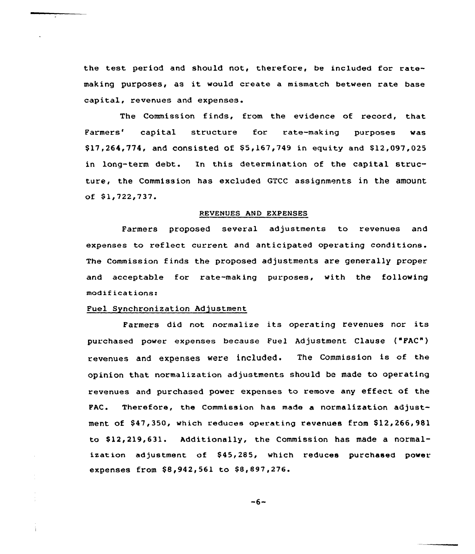the test period and should not, therefore, be included for ratemaking purposes, as it would create a mismatch between rate base capital, revenues and expenses.

The Commission finds, from the evidence of record, that Far<mark>mers' capital structure for rate-making purposes wa</mark>s  $$17,264,774$ , and consisted of  $$5,167,749$  in equity and  $$12,097,025$ in long-term debt. In this determination of the capital structure, the Commission has excluded GTCC assignments in the amount of \$1,722,737.

## REVENUES AND EXPENSES

Farmers proposed several adjustments to revenues and expenses to reflect current and anticipated operating conditions. The Commission finds the proposed adjustments are generally proper and acceptable for rate-making purposes, with the following modifications:

## Puel Synchronizatian Adjustment

í.

Farmers did not normalize its operating revenues nor its purchased power expenses because Fuel Adjustment Clause ("FAC") revenues and expenses were included. The Commission is of the opinion that normalization adjustments should be made to operating revenues and purchased power expenses to remove any effect of the PAC. Therefore, the Commission has made a normalization adjustment of \$47,350, which reduces operating revenues from \$12,266,981 to \$12,219,631. Additionally, the Commission has made a normalization adjustment of \$45,285, which reduces purchased power expenses from \$8,942,561 to \$8,897,276.

 $-6-$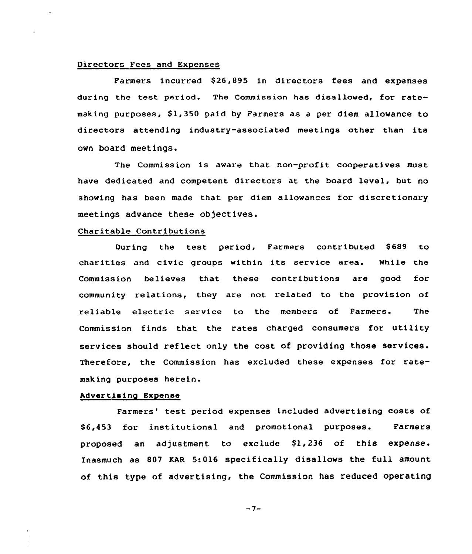# Directors Fees and Expenses

Farmers incurred S26,895 in directors fees and expenses during the test period. The Commission has disallowed, for ratemaking purposes, S1,350 paid by Farmers as a per diem allowance to directors attending industry-associated meetings other than its own board meetings.

The Commission is aware that non-profit cooperatives must have dedicated and competent directors at the board level, but no showing has been made that per diem allowances for discretionary meetings advance these objectives.

## Charitable Contributions

During the test period, Farmers contributed S689 to charities and civic groups within its service area. While the Commission believes that these contributions are good for community relations, they are not related to the provision of reliable electric service to the members of Farmers. The Commission finds that the rates charged consumers for utility services should reflect only the cost of providing those services. Therefore, the Commission has excluded these expenses for ratemaking purposes herein.

## Advertising Expense

Farmers' test period expenses included advertising costs of S6,453 for institutional and promotional purposes. Farmers proposed an adjustment to exclude \$1,236 of this expense. Xnasmuch as 807 KAR 5:016 speeifieally disallows the full amount of this type of advertising, the Commission has reduced operating

 $-7-$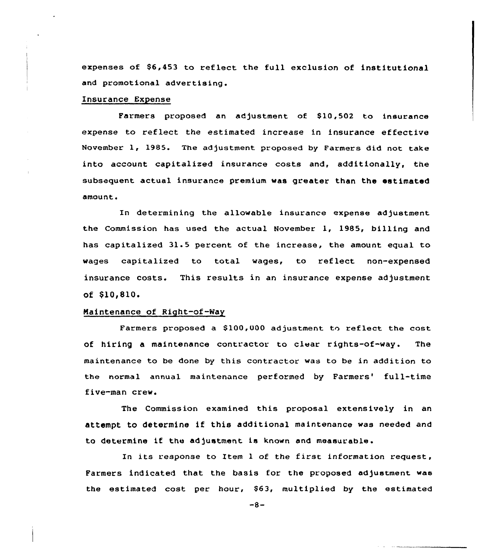expenses of 86,453 to reflect the full exclusion of institutional and promotional advertising.

# Insurance Expense

Farmers proposed an adjustment of \$10,502 to insurance expense to reflect the estimated increase in insurance effective November 1, 1985. The adjustment proposed by Farmers did not take into account capitalized insurance costs and, additionally, the subsequent actual insurance premium was greater than the estimated amount.

In determining the allowable insurance expense adjustment the Commission has used the actual November 1, 1985, billing and has capitalized 31.5 percent of the increase, the amount equal to wages capitalized to total wages, to reflect non-expensed insurance costs. This results in an insurance expense adjustment of \$10,810.

# Maintenance of Right-of-Way

Farmers proposed a \$100,000 adjustment to reflect the cost of hiring a maintenance contractor to clear rights-of-way. The maintenance to be done by this contractor was to be in addition to the normal annual maintenance performed by Farmers' full-time five-man crew.

The Commission examined this proposal extensively in an attempt to determine if this additional maintenance was needed and to determine if the adjustment is known and measurable.

In its response to Item 1 of the first information request, Farmers indicated that the basis for the proposed adjustment was the estimated cost per hour, \$63, multiplied by the estimated

 $-8-$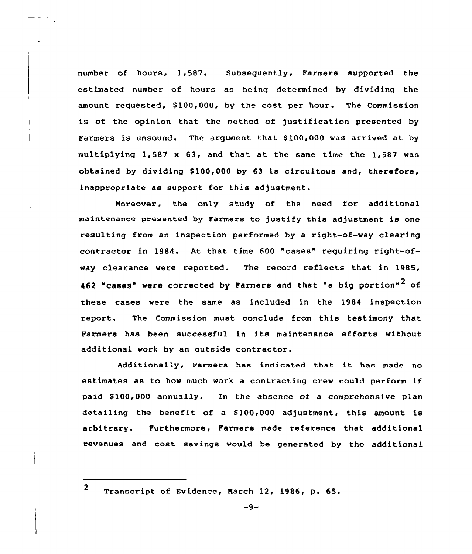number of hours, 1,587. Subsequently, Farmers supported the estimated number of hours as being determined by dividing the amount requested, \$100,000, by the cost per hour. The Commission is of the opinion that the method of justification presented by Farmers is unsound. The argument that \$100,000 was arrived at by multiplying 1,587 x 63, and that at the same time the 1,587 was obtained by dividing  $$100,000$  by 63 is circuitous and, therefore, inappropriate as support for this adjustment.

Moreover, the only study of the need for additional maintenance presented by Farmers to justify this adjustment is one resulting from an inspection performed by a right-of-way clearing contractor in 1984. At that time 600 "cases" requiring right-ofway clearance were reported. The record reflects that in 1985, 462 "cases" were corrected by Farmers and that "a big portion"<sup>2</sup> of these cases were the same as included in the 1984 inspection xeport. The Commission must conclude from this testimony that Farmexs has been successful in its maintenance efforts without additional work by an outside contractor.

Additionally, Farmers has indicated that it has made no estimates as to how much work <sup>a</sup> contracting crew could perform if paid \$100,000 annually. In the absence of a comprehensive plan detailing the benefit of a \$100,000 adjustment, this amount is arbitrary. Furthermore, Farmers made reference that additional revenues and cost savings would be generated by the additional

<sup>2</sup> Transcript of Evidence, March 12, 1986, p. 65.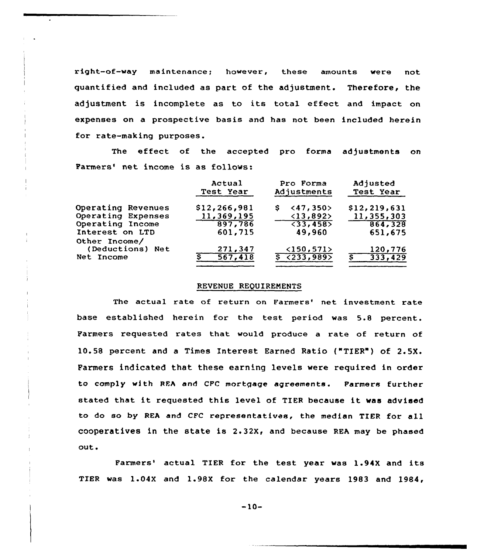right-of-way maintenance; however, these amounts were not quantified and included as part of the adjustment. Therefore, the adjustment is incomplete as to its total effect and impact on expenses on a prospective basis and has not been included herein for rate-making purposes.

The effect of the accepted pro forma adjustments on Farmers' net income is as follows:

|                    | Actual<br>Test Year | Pro Forma<br>Adjustments       | Adjusted<br>Test Year |
|--------------------|---------------------|--------------------------------|-----------------------|
| Operating Revenues | \$12, 266, 981      | $\langle 47, 350 \rangle$<br>s | \$12, 219, 631        |
| Operating Expenses | 11,369,195          | <13,892>                       | 11,355,303            |
| Operating Income   | 897,786             | $\overline{33,458}$            | 864,328               |
| Interest on LTD    | 601,715             | 49,960                         | 651,675               |
| Other Income/      |                     |                                |                       |
| (Deductions) Net   | 271,347             | <150,571>                      | 120,776               |
| Net Income         | 567,418             | $5$ $(233, 989)$               | 333,429<br>s.         |

#### REVENUE REQUIREMENTS

The actual rate of return on Farmers' net investment rate base established herein for the test period was 5.8 percent. Farmers requested rates that would produce a rate of return of 10.58 percent and a Times Interest Earned Ratio {"TIER") of 2.5X. Parmers indicated that these earning levels were required in order to comply with REA and CFC mortgage agreements. Farmers further stated that it requested this level of TIER because it was advised to do so by REA and CFC representatives, the median TIER for all cooperatives in the state is 2.32x, and because REA may be phased out.

Farmers' actual TIER for the test year was 1.94X and its TIER was 1.04X and 1.98X for the calendar years 1983 and 1984,

 $-10-$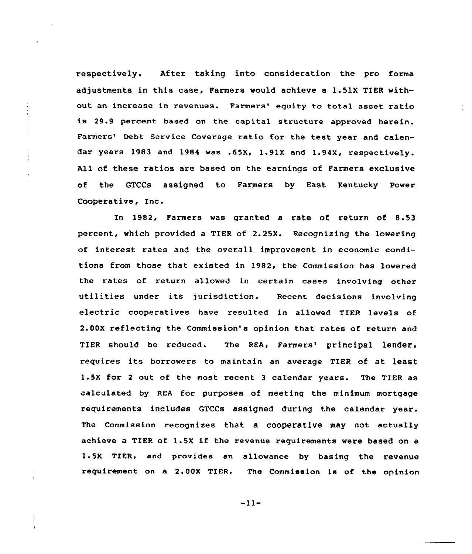respectively. After taking into consideration the pro forma adjustments in this case, Farmers would achieve a 1.51X TIER without an increase in revenues. Farmers' equity to total asset ratio is 29.9 percent based on the capital structure approved herein. Farmers' Debt Service Coverage ratio for the test year and calendar years 1983 and 1984 was .65X, 1.91X and 1.94X, respectively. All of these ratios are based on the earnings of Farmers exclusive of the GTCCs assigned to Farmers by East Kentucky Power Cooperative, Inc.

In 1982, Farmers was granted a rate of return of 8.53 percent, which provided a TIER of 2.25X. Recognizing the lowering of interest rates and the overall improvement in economic conditions from those that existed in 1982, the Commission has lowered the rates of return allowed in certain cases involving other utilities under its jurisdiction. Recent decisions involving electric cooperatives have resulted in allowed TIER levels of 2.00X reflecting the Commission's opinion that rates of return and TIER should be reduced. The REA, Farmers' principal lender, requires its borrowers to maintain an average TIER of at least 1.5X for <sup>2</sup> out of the most recent <sup>3</sup> calendar years. The TIER as calculated by REA for purposes of meeting the minimum mortgage requirements includes GTCCs assigned during the calendar year. The Commission recognizes that a cooperative may not, actually achieve <sup>a</sup> TIER of 1.5X if the revenue requirements were based on <sup>a</sup> 1.5X TIER, and provides an allowance by basing the revenue requirement on a 2.00X TIER. The Commission is of the opinion

 $-11-$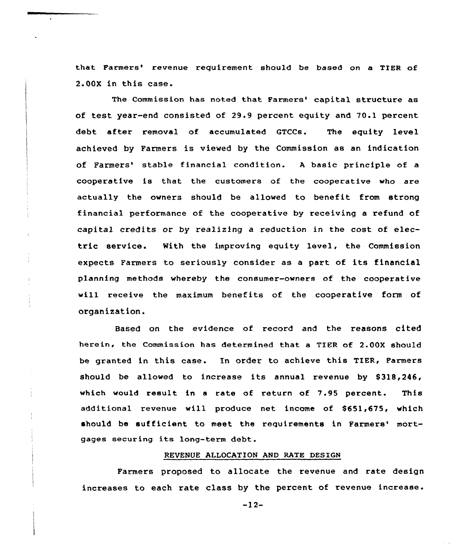that Farmers' revenue requirement should be based on a TIER of 2.00X in this ease.

The Commission has noted that Farmers' capital structure as of test year-end consisted of 29.9 percent equity and 70.1 percent debt after removal of accumulated GTCCs. The equity level achieved by Farmers is viewed by the Commission as an indication of Farmers' stable financial condition. A basic principle of a cooperative is that the customers of the cooperative who are actually the owners should be allowed to benefit from strong financial performance of the cooperative by receiving a refund of capital credits or by realizing a reduction in the cost of electric service. With the improving equity level, the Commission expects Farmers to seriously consider as a part of its financial planning methods whereby the consumer-owners of the cooperative will receive the maximum benefits of the cooperative form of organization.

Based on the evidence of record and the reasons cited herein, the Commission has determined that a TIER of 2.00X should be granted in this case. In order to achieve this TIER, Farmers should be allowed to increase its annual revenue by S318,246, which would result in <sup>a</sup> rate of return of 7.95 percent. This additional revenue will produce net income of \$651,675, which should be sufficient to meet the requirements in Farmers' mortgages securing its long-term debt.

## REVENUE ALLOCATION AND RATE DESIGN

Farmers proposed to allocate the revenue and rate design increases to each rate class by the percent of revenue increase.

 $-12-$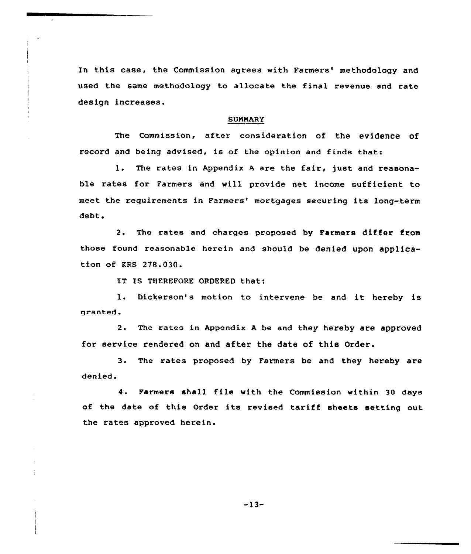In this case, the Commission agrees with Farmers' methodology and used the same methodology to allocate the final revenue and rate design increases.

#### **SUMMARY**

The Commission, after consideration of the evidence of record and being advised, is of the opinion and finds that:

1. The rates in Appendix <sup>A</sup> are the fair, just and reasonable rates for Farmers and will provide net income sufficient to meet the requirements in Farmers' mortgages securing its long-term debt.

2. The rates and charges proposed by Farmers differ from those found reasonable herein and should be denied upon application of KRS 278.030.

IT 18 THEREFORE ORDERED that:

1. Dickerson's motion to intervene be and it hereby is granted.

2. The rates in Appendix <sup>A</sup> be and they hereby are approved for service rendered on and after the date of this Order.

3. The rates proposed by Farmers be and they hereby are denied.

4. Farmers shall file with the Commission within 30 days of the date of this Order its revised tariff sheets setting out the rates approved herein.

-13-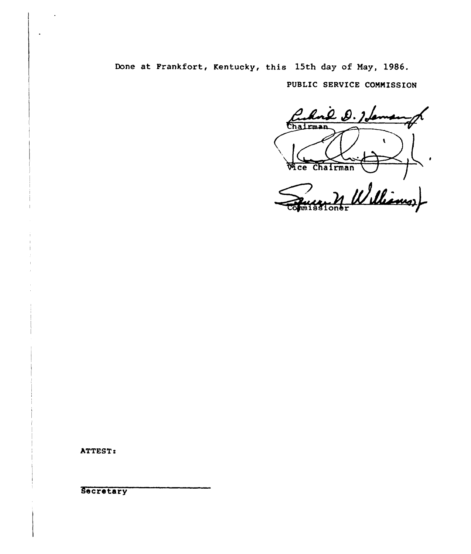# Done at Frankfort, Kentucky, this 15th day of May, 1986.

PUBLIC SERVICE COMMISSION

Rue D. 1 Le Chairman  $\mathbf{r}$ Vice Chairman Williams) **RTT** 

ATTEST:

Secretary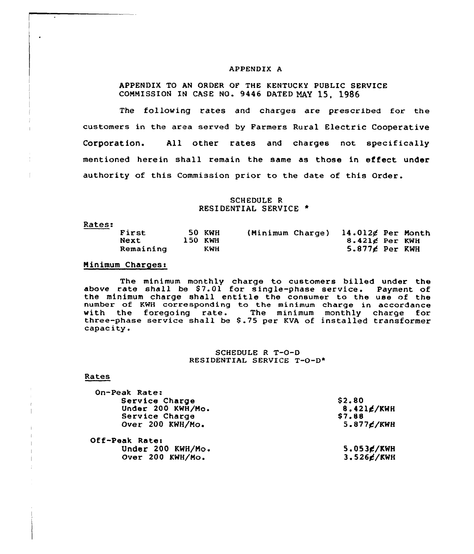## APPENDIX A

# APPENDIX TO AN ORDER OF THE KENTUCKX PUBLIC SERVICE COMMISSION IN CASE NO. 9446 DATED MAY 15, 1986

The following rates and charges are prescribed for the customers in the area served by Farmers Rural Electric Cooperative Corporation. All other rates and charges not specifically mentioned herein shall remain the same as those in effect under authority of this Commission prior to the date of this Order.

# SCHEDULE R RESIDENTIAL SERVICE

Rates:

 $\mathcal{L}$ 

 $\overline{1}$  $\mathbf{1}$ -i

| First<br>Next | <b>50 KWH</b><br>150 KWH<br>KWH | (Minimum Charge) | $14.012$ g Per Month<br>$8.421$ d Per KWH |  |
|---------------|---------------------------------|------------------|-------------------------------------------|--|
| Remaining     |                                 |                  | $5.877$ $\epsilon$ Per KWH                |  |

# Minimum Charges:

The minimum monthly charge to customers billed under the above rate shall be \$7.01 for single-phase service. Payment of the minimum charge shall entitle the consumer to the use of the number of KWH corresponding to the minimum charge in accordance<br>with the foregoing rate. The minimum monthly charge for with the foregoing rate. The minimum monthly charge for<br>three-phase service shall be \$.75 per KVA of installed transformer<br>capacity.

## SCHEDULE R T-O-D RESIDENTIAL SERVICE T-0-D\*

#### Rates

| On-Peak Rate:     |                         |
|-------------------|-------------------------|
| Service Charge    | \$2.80                  |
| Under 200 KWH/Mo. | $8.421$ $\epsilon$ /KWH |
| Service Charge    | <b>S7.88</b>            |
| Over 200 KWH/Mo.  | $5.877$ $\epsilon$ /KWH |
| Off-Peak Rate:    |                         |
| Under 200 KWH/Mo. | $5.053$ $\epsilon$ /KWH |
| Over 200 KWH/Mo.  | $3.526$ $\epsilon$ /KWH |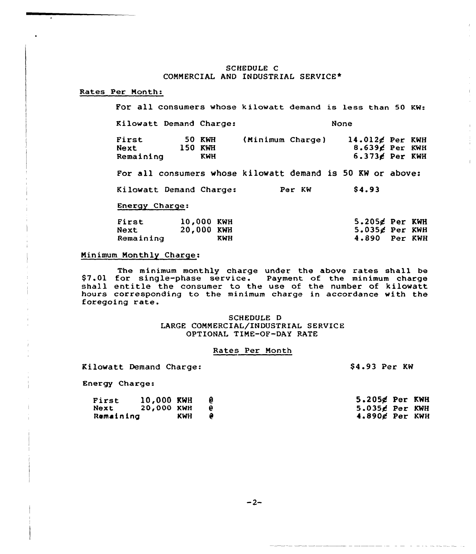## SCHEDULE C COMMERCIAL AND INDUSTRIAL SERVICE\*

# Rates Per Month:

For all consumers whose kilowatt demand is less than 50 Kw: Kilowatt Demand Charge: None First 50 KWH (Minimum Charge) 14.012¢ Per KWH First 50 KWH (Minimum Charge) 14.012¢ Per KWH<br>Next 150 KWH 8.639¢ Per KWH<br>Remaining KWH 6.373¢ Per KWH  $6.373$  $\epsilon$  Per KWH For all consumers whose kilowatt demand is 50 KW or above: Kilowatt Demand Charge: Per KW \$4.93 Energy Charge:  $5.205$  $\cancel{\epsilon}$  Per KWH  $5.035$  $\cancel{\epsilon}$  Per KWH First 10,000 KWH<br>Next 20,000 KWH 20,000 KWH Remaining 4.890 Per KWH

## Minimum Monthly Charge:

The minimum monthly charge under the above rates shall be<br>\$7.01 for single-phase service. Payment of the minimum charge shall entitle the consumer to the use of the number of kilowatt hours corresponding to the minimum charge in accordance with the foregoing rate.

## SCHEDULE D LARGE COMMERCIAL/INDUSTRIAL SERVICE OPTIONAL TIME-OF-DAY RATE

### Rates Per Month

Kilowatt Demand Charge:

\$4.93 Per KW

Energy Charge:

| First     | 10,000 KWH |     | 5.205¢ Per KWH    |  |
|-----------|------------|-----|-------------------|--|
| Next      | 20,000 KWH |     | $5.035$ d Per KWH |  |
| Remaining |            | KWH | $4.890$ g Per KWH |  |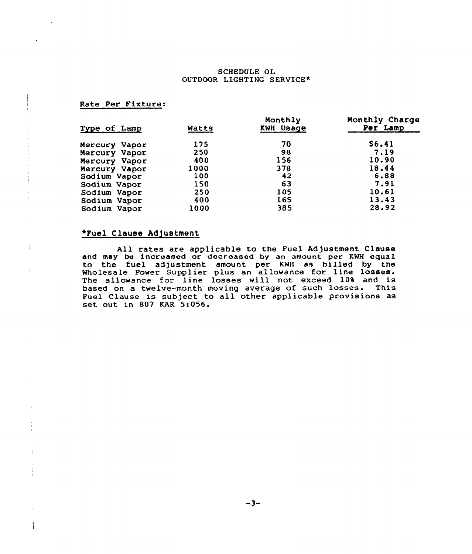## SCHEDULE OL OUTDOOR LIGHTING SERVICE\*

# Rate Per Fixture:

| Type of Lamp  | Watts | Monthly<br><b>KWH Usage</b> | Monthly Charge<br>Per Lamp |
|---------------|-------|-----------------------------|----------------------------|
| Mercury Vapor | 175   | 70                          | \$6.41                     |
| Mercury Vapor | 250   | 98                          | 7.19                       |
| Mercury Vapor | 400   | 156                         | 10.90                      |
| Mercury Vapor | 1000  | 378                         | 18.44                      |
| Sodium Vapor  | 100   | 42                          | 6.88                       |
| Sodium Vapor  | 150   | 63                          | 7.91                       |
| Sodium Vapor  | 250   | 105                         | 10.61                      |
| Sodium Vapor  | 400   | 165                         | 13.43                      |
| Sodium Vapor  | 1000  | 385                         | 28.92                      |

# \*Fuel Clause Adjustment

 $\frac{1}{3}$ 

 $\mathcal{I}$ 

All rates are applicable to the Fuel Adjustment Clause and may be increased or decreased by an amount per KWH equal to the fuel adjustment amount per KWH as billed by the Wholesale Power Supplier plus an allowance for line losses. mioresare rower suppriet pras an arrowance for this rosses.<br>The allowance for line losses will not exceed 10% and is based on a twelve-month moving average of such losses. This Fuel Clause is subject to all other applicable provisions as set out in 807 KAR 5:056.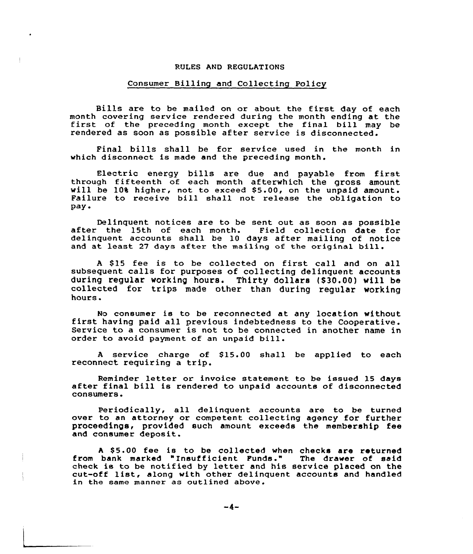#### RULES AND REGULATIONS

# Consumer Billing and Collecting Policy

Bills are to be mailed on or about the first day of each month covering service rendered during the month ending at the<br>first of the preceding month except the final bill may be rendered as soon as possible after service is disconnected.

Final bills shall be for service used in the month in which disconnect is made and the preceding month.

Electric energy bills are due and payable from first through fifteenth of each month afterwhich the gross amount will be 10% higher, not to exceed \$5.00, on the unpaid amount. will be 10% higher, not to exceed \$5.00, on the unpaid amount.<br>Failure to receive bill shall not release the obligation to pay <sup>~</sup>

Delinquent notices are to be sent out as soon as possible after the 15th of each month. Field collection date for delinquent accounts shall be 10 days after mailing of notice and at least <sup>27</sup> days after the mailing of the original bill.

<sup>A</sup> \$ 15 fee is to be collected on first call and on all subsequent calls for purposes of collecting delinquent accounts during regular working hours. Thirty dollars (\$30.00) will be collected for trips made other than during regular vorking hours.

No consumer is to be reconnected at any location without first having paid all previous indebtedness to the Cooperative. Service to a consumer is not to be connected in another name in order to avoid payment of an unpaid bill.

A service charge of \$15.00 shall be applied to each reconnect requiring a trip.

Reminder letter or invoice statement to be issued <sup>15</sup> days after final bill is rendered to unpaid accounts of disconnected consumers.

Periodically, all delinquent accounts are to be turne over to an attorney or competent collecting agency for further proceedings, provided such amount exceeds the membership fee and consumer deposit.

A \$5.00 fee is to be collected when checks are returned from bank marked "Insufficient Funds." The drawer of said check is to be notified by letter and his service placed on the cut-off list, along with other delinquent accounts and handled in the same manner as outlined above.